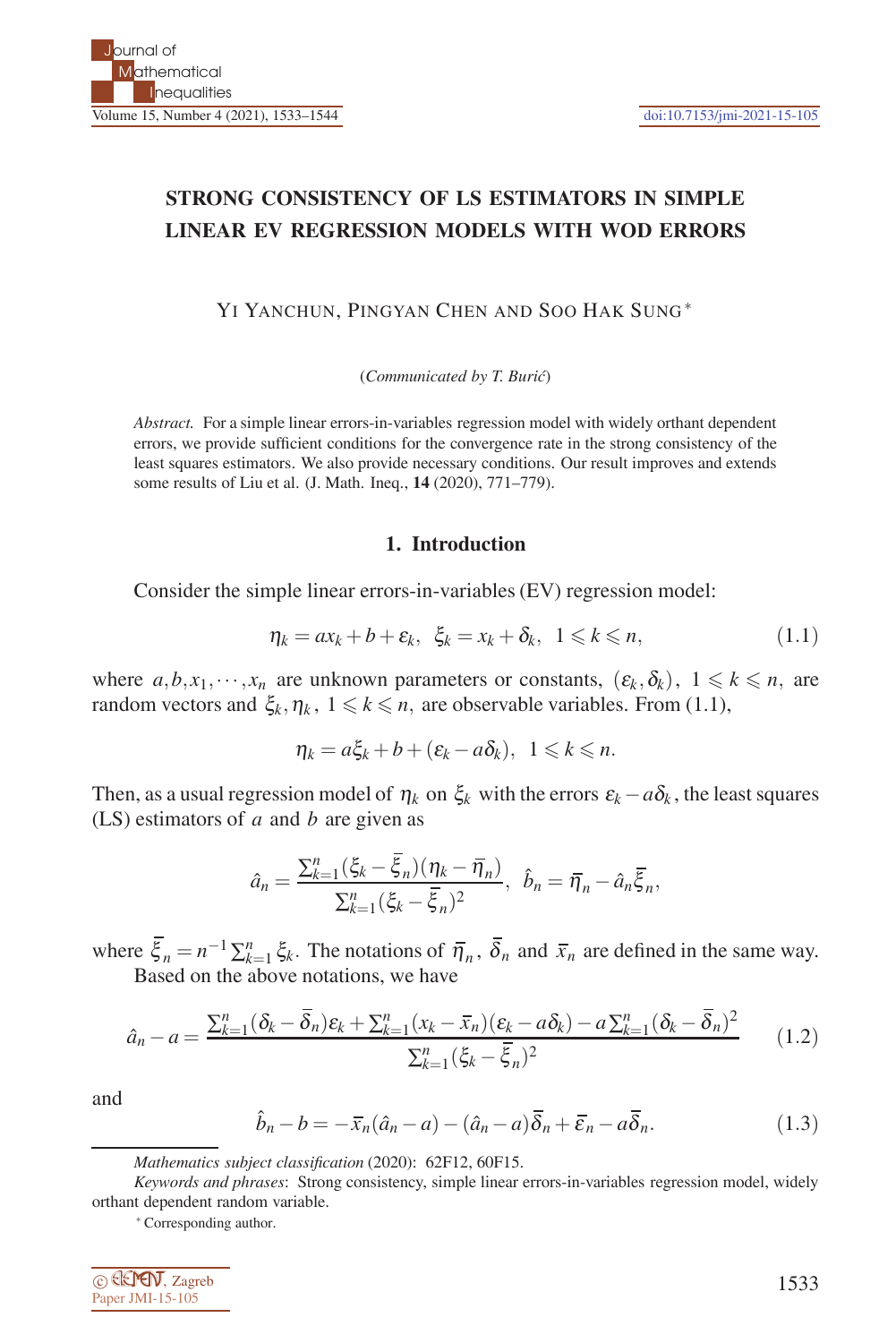## **STRONG CONSISTENCY OF LS ESTIMATORS IN SIMPLE LINEAR EV REGRESSION MODELS WITH WOD ERRORS**

YI YANCHUN, PINGYAN CHEN AND SOO HAK SUNG <sup>∗</sup>

(*Communicated by T. Buri´c*)

*Abstract.* For a simple linear errors-in-variables regression model with widely orthant dependent errors, we provide sufficient conditions for the convergence rate in the strong consistency of the least squares estimators. We also provide necessary conditions. Our result improves and extends some results of Liu et al. (J. Math. Ineq., **14** (2020), 771–779).

## **1. Introduction**

Consider the simple linear errors-in-variables (EV) regression model:

$$
\eta_k = ax_k + b + \varepsilon_k, \ \xi_k = x_k + \delta_k, \ 1 \leq k \leq n,\tag{1.1}
$$

where  $a, b, x_1, \dots, x_n$  are unknown parameters or constants,  $(\varepsilon_k, \delta_k)$ ,  $1 \le k \le n$ , are random vectors and  $\xi_k, \eta_k, 1 \leq k \leq n$ , are observable variables. From (1.1),

$$
\eta_k = a\xi_k + b + (\varepsilon_k - a\delta_k), \ \ 1 \leq k \leq n.
$$

Then, as a usual regression model of  $\eta_k$  on  $\xi_k$  with the errors  $\varepsilon_k - a \delta_k$ , the least squares (LS) estimators of *a* and *b* are given as

$$
\hat{a}_n = \frac{\sum_{k=1}^n (\xi_k - \overline{\xi}_n)(\eta_k - \overline{\eta}_n)}{\sum_{k=1}^n (\xi_k - \overline{\xi}_n)^2}, \ \hat{b}_n = \overline{\eta}_n - \hat{a}_n \overline{\xi}_n,
$$

where  $\bar{\xi}_n = n^{-1} \sum_{k=1}^n \xi_k$ . The notations of  $\bar{\eta}_n$ ,  $\bar{\delta}_n$  and  $\bar{x}_n$  are defined in the same way. Based on the above notations, we have

$$
\hat{a}_n - a = \frac{\sum_{k=1}^n (\delta_k - \bar{\delta}_n) \varepsilon_k + \sum_{k=1}^n (x_k - \bar{x}_n) (\varepsilon_k - a \delta_k) - a \sum_{k=1}^n (\delta_k - \bar{\delta}_n)^2}{\sum_{k=1}^n (\xi_k - \bar{\xi}_n)^2}
$$
(1.2)

and

$$
\hat{b}_n - b = -\bar{x}_n(\hat{a}_n - a) - (\hat{a}_n - a)\bar{\delta}_n + \bar{\epsilon}_n - a\bar{\delta}_n.
$$
\n(1.3)

*Keywords and phrases*: Strong consistency, simple linear errors-in-variables regression model, widely orthant dependent random variable.

<sup>∗</sup> Corresponding author.



*Mathematics subject classification* (2020): 62F12, 60F15.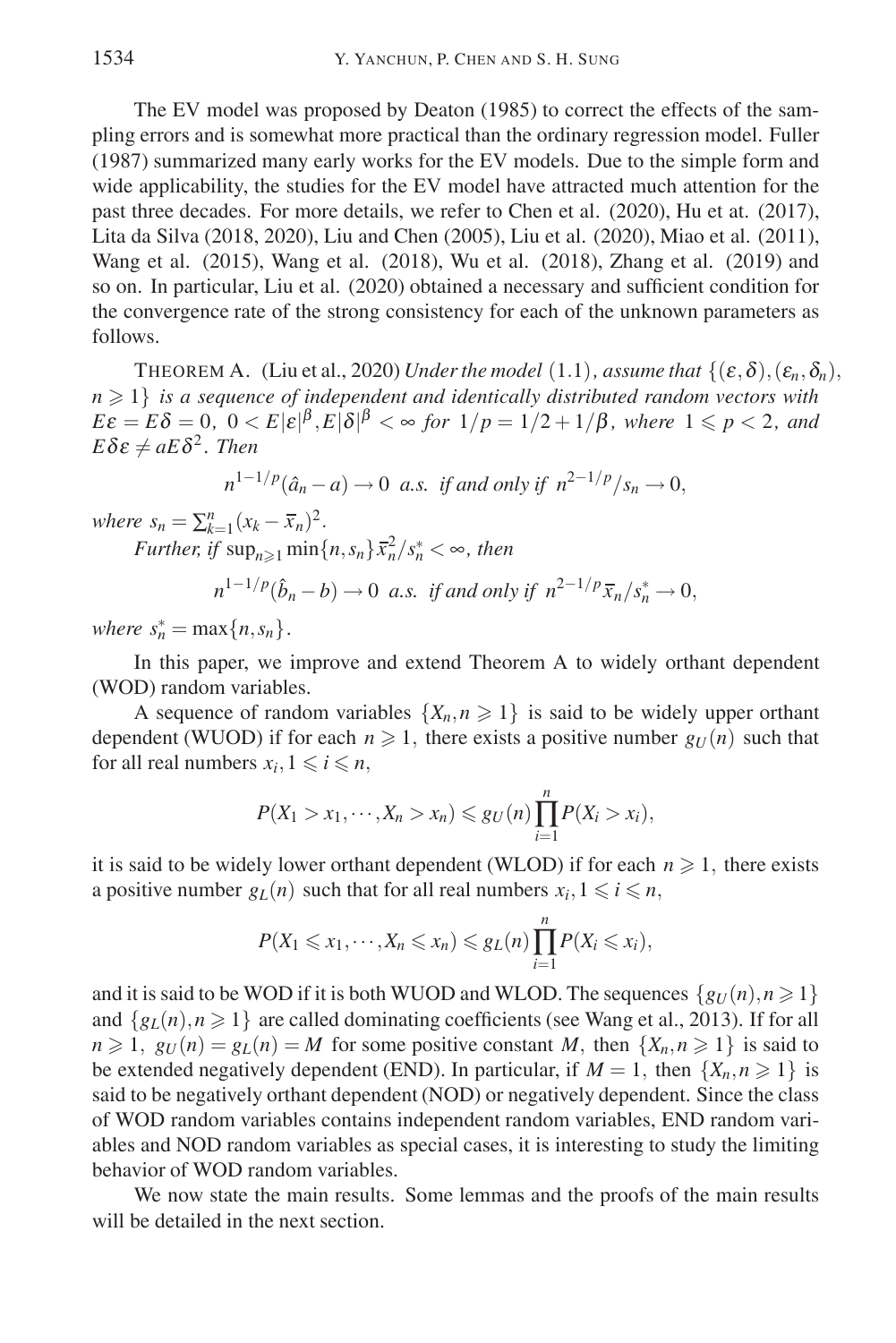The EV model was proposed by Deaton (1985) to correct the effects of the sampling errors and is somewhat more practical than the ordinary regression model. Fuller (1987) summarized many early works for the EV models. Due to the simple form and wide applicability, the studies for the EV model have attracted much attention for the past three decades. For more details, we refer to Chen et al. (2020), Hu et at. (2017), Lita da Silva (2018, 2020), Liu and Chen (2005), Liu et al. (2020), Miao et al. (2011), Wang et al. (2015), Wang et al. (2018), Wu et al. (2018), Zhang et al. (2019) and so on. In particular, Liu et al. (2020) obtained a necessary and sufficient condition for the convergence rate of the strong consistency for each of the unknown parameters as follows.

THEOREM A. (Liu et al., 2020) *Under the model* (1.1), *assume that*  $\{(\varepsilon, \delta), (\varepsilon_n, \delta_n),$  $n \geq 1$  *is a sequence of independent and identically distributed random vectors with*  $E\varepsilon = E\delta = 0, \ 0 < E|\varepsilon|^{\beta}, E|\delta|^{\beta} < \infty \ for \ 1/p = 1/2 + 1/\beta, \ where \ 1 \leqslant p < 2, \ and \$  $E\delta \varepsilon \neq aE\delta^2$ *. Then* 

 $n^{1-1/p}(\hat{a}_n - a) \to 0$  *a.s. if and only if*  $n^{2-1/p}/s_n \to 0$ ,

*where*  $s_n = \sum_{k=1}^n (x_k - \bar{x}_n)^2$ . *Further, if*  $\sup_{n\geq 1} \min\{n, s_n\} \overline{x}_n^2 / s_n^* < \infty$ , then  $n^{1-1/p}(\hat{b}_n - b) \to 0$  *a.s. if and only if*  $n^{2-1/p} \bar{x}_n / s_n^* \to 0$ ,

*where*  $s_n^* = \max\{n, s_n\}$ .

In this paper, we improve and extend Theorem A to widely orthant dependent (WOD) random variables.

A sequence of random variables  $\{X_n, n \geq 1\}$  is said to be widely upper orthant dependent (WUOD) if for each  $n \ge 1$ , there exists a positive number  $g_U(n)$  such that for all real numbers  $x_i, 1 \leq i \leq n$ ,

$$
P(X_1 > x_1, \cdots, X_n > x_n) \leq g_U(n) \prod_{i=1}^n P(X_i > x_i),
$$

it is said to be widely lower orthant dependent (WLOD) if for each  $n \geq 1$ , there exists a positive number  $g_L(n)$  such that for all real numbers  $x_i, 1 \leq i \leq n$ ,

$$
P(X_1 \leq x_1, \cdots, X_n \leq x_n) \leq g_L(n) \prod_{i=1}^n P(X_i \leq x_i),
$$

and it is said to be WOD if it is both WUOD and WLOD. The sequences  $\{g_U(n), n \geq 1\}$ and  $\{g_L(n), n \ge 1\}$  are called dominating coefficients (see Wang et al., 2013). If for all  $n \geq 1$ ,  $g_U(n) = g_L(n) = M$  for some positive constant *M*, then  $\{X_n, n \geq 1\}$  is said to be extended negatively dependent (END). In particular, if  $M = 1$ , then  $\{X_n, n \geq 1\}$  is said to be negatively orthant dependent (NOD) or negatively dependent. Since the class of WOD random variables contains independent random variables, END random variables and NOD random variables as special cases, it is interesting to study the limiting behavior of WOD random variables.

We now state the main results. Some lemmas and the proofs of the main results will be detailed in the next section.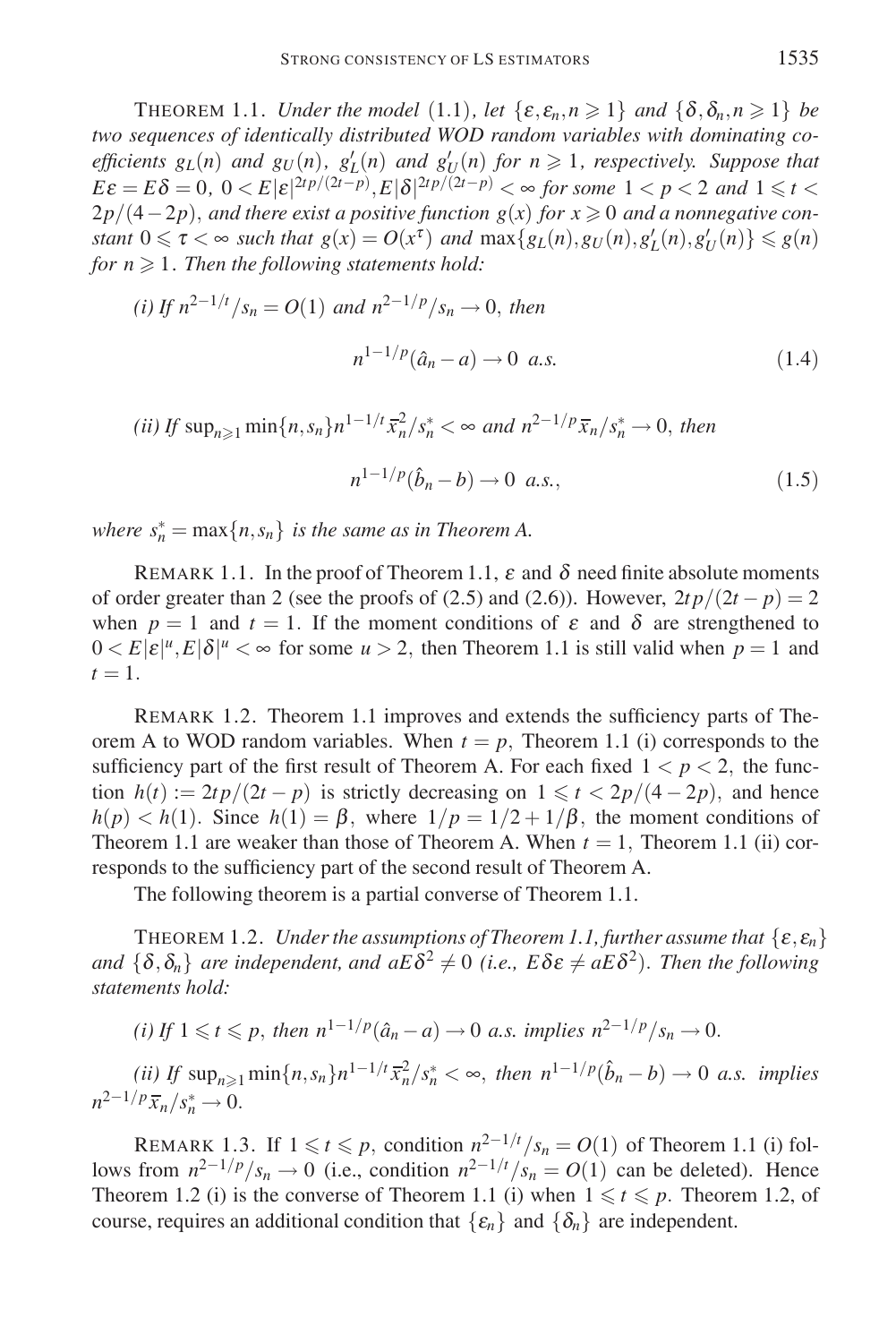THEOREM 1.1. *Under the model* (1.1)*, let*  $\{\varepsilon, \varepsilon_n, n \ge 1\}$  *and*  $\{\delta, \delta_n, n \ge 1\}$  *be two sequences of identically distributed WOD random variables with dominating coefficients*  $g_L(n)$  *and*  $g_U(n)$ *,*  $g'_L(n)$  *and*  $g'_U(n)$  *for*  $n \ge 1$ *, respectively. Suppose that*  $E\varepsilon = E\delta = 0$ ,  $0 < E|\varepsilon|^{2tp/(2t-p)}$ ,  $E|\delta|^{2tp/(2t-p)} < \infty$  for some  $1 < p < 2$  and  $1 \leqslant t <$  $2p/(4-2p)$ , and there exist a positive function  $g(x)$  for  $x \ge 0$  and a nonnegative constant  $0 \leq \tau < \infty$  such that  $g(x) = O(x^{\tau})$  and  $\max\{g_L(n), g_U(n), g'_L(n), g'_U(n)\} \leq g(n)$ *for*  $n \geq 1$ *. Then the following statements hold:* 

(i) If 
$$
n^{2-1/t}/s_n = O(1)
$$
 and  $n^{2-1/p}/s_n \to 0$ , then  
\n
$$
n^{1-1/p}(\hat{a}_n - a) \to 0 \quad a.s.
$$
\n(1.4)

(*ii*) If 
$$
\sup_{n\geq 1} \min\{n, s_n\} n^{1-1/t} \overline{x}_n^2 / s_n^* < \infty
$$
 and  $n^{2-1/p} \overline{x}_n / s_n^* \to 0$ , then  
\n
$$
n^{1-1/p} (\hat{b}_n - b) \to 0 \quad a.s.,
$$
\n(1.5)

*where*  $s_n^* = \max\{n, s_n\}$  *is the same as in Theorem A.* 

REMARK 1.1. In the proof of Theorem 1.1,  $\varepsilon$  and  $\delta$  need finite absolute moments of order greater than 2 (see the proofs of (2.5) and (2.6)). However,  $2tp/(2t - p) = 2$ when  $p = 1$  and  $t = 1$ . If the moment conditions of  $\varepsilon$  and  $\delta$  are strengthened to  $0 < E|\varepsilon|^u, E|\delta|^u < \infty$  for some  $u > 2$ , then Theorem 1.1 is still valid when  $p = 1$  and  $t = 1$ .

REMARK 1.2. Theorem 1.1 improves and extends the sufficiency parts of Theorem A to WOD random variables. When  $t = p$ , Theorem 1.1 (i) corresponds to the sufficiency part of the first result of Theorem A. For each fixed  $1 < p < 2$ , the function  $h(t) := 2tp/(2t - p)$  is strictly decreasing on  $1 \le t < 2p/(4 - 2p)$ , and hence  $h(p) < h(1)$ *.* Since  $h(1) = \beta$ , where  $1/p = 1/2 + 1/\beta$ , the moment conditions of Theorem 1.1 are weaker than those of Theorem A. When  $t = 1$ , Theorem 1.1 (ii) corresponds to the sufficiency part of the second result of Theorem A.

The following theorem is a partial converse of Theorem 1.1.

THEOREM 1.2. *Under the assumptions of Theorem 1.1, further assume that*  $\{\varepsilon, \varepsilon_n\}$ *and*  $\{\delta, \delta_n\}$  *are independent, and*  $aE\delta^2 \neq 0$  *(i.e.,*  $E\delta \epsilon \neq aE\delta^2$ *). Then the following statements hold:*

(i) If 
$$
1 \le t \le p
$$
, then  $n^{1-1/p}(\hat{a}_n - a) \to 0$  a.s. implies  $n^{2-1/p}/s_n \to 0$ .

(ii) If  $\sup_{n\geq 1} \min\{n, s_n\} n^{1-1/t} \overline{x}_n^2 / s_n^* < \infty$ , then  $n^{1-1/p}(\hat{b}_n - b) \to 0$  a.s. implies  $n^{2-1/p} \bar{x}_n / s_n^* \to 0.$ 

REMARK 1.3. If  $1 \le t \le p$ , condition  $n^{2-1/t}/s_n = O(1)$  of Theorem 1.1 (i) follows from  $n^{2-1/p}/s_n \to 0$  (i.e., condition  $n^{2-1/t}/s_n = O(1)$  can be deleted). Hence Theorem 1.2 (i) is the converse of Theorem 1.1 (i) when  $1 \le t \le p$ . Theorem 1.2, of course, requires an additional condition that  $\{\varepsilon_n\}$  and  $\{\delta_n\}$  are independent.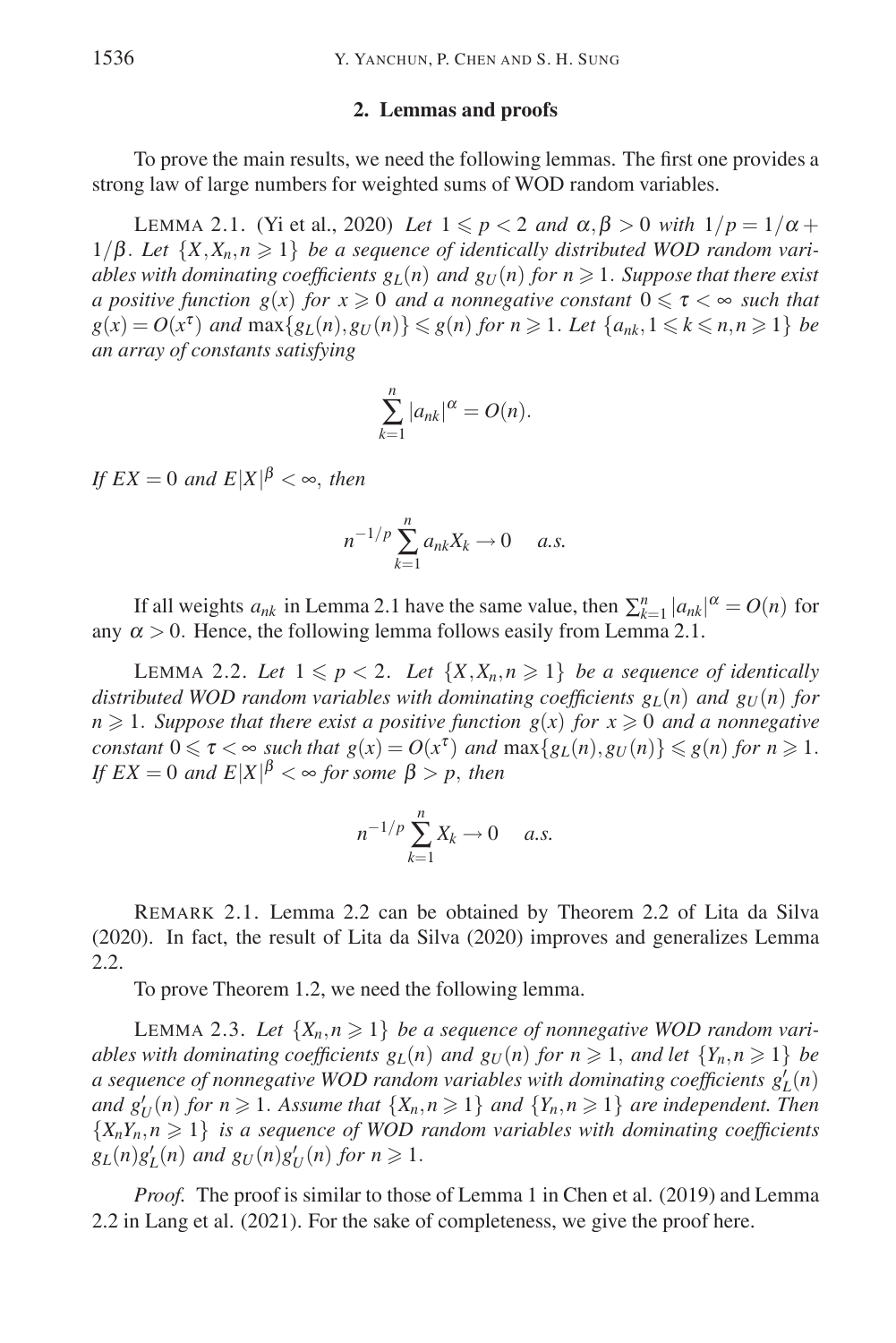## **2. Lemmas and proofs**

To prove the main results, we need the following lemmas. The first one provides a strong law of large numbers for weighted sums of WOD random variables.

LEMMA 2.1. (Yi et al., 2020) Let  $1 \leq p < 2$  and  $\alpha, \beta > 0$  with  $1/p = 1/\alpha + \beta$ 1/β*. Let*  $\{X, X_n, n \geq 1\}$  *be a sequence of identically distributed WOD random variables with dominating coefficients*  $g_L(n)$  *and*  $g_U(n)$  *for*  $n \geq 1$ *. Suppose that there exist a positive function*  $g(x)$  *for*  $x \ge 0$  *and a nonnegative constant*  $0 \le \tau < \infty$  *such that*  $g(x) = O(x^{\tau})$  and  $\max\{g_L(n), g_U(n)\} \le g(n)$  for  $n \ge 1$ . Let  $\{a_{nk}, 1 \le k \le n, n \ge 1\}$  be *an array of constants satisfying*

$$
\sum_{k=1}^n |a_{nk}|^\alpha = O(n).
$$

*If*  $EX = 0$  and  $E|X|^{\beta} < \infty$ , then

$$
n^{-1/p} \sum_{k=1}^n a_{nk} X_k \to 0 \quad a.s.
$$

If all weights  $a_{nk}$  in Lemma 2.1 have the same value, then  $\sum_{k=1}^{n} |a_{nk}|^{\alpha} = O(n)$  for any  $\alpha > 0$ . Hence, the following lemma follows easily from Lemma 2.1.

LEMMA 2.2. Let  $1 \leqslant p < 2$ . Let  $\{X, X_n, n \geqslant 1\}$  be a sequence of identically *distributed WOD random variables with dominating coefficients*  $g_L(n)$  *and*  $g_U(n)$  *for*  $n \geq 1$ *. Suppose that there exist a positive function*  $g(x)$  *for*  $x \geq 0$  *and a nonnegative constant*  $0 \le \tau < \infty$  *such that*  $g(x) = O(x^{\tau})$  *and*  $\max\{g_L(n), g_U(n)\} \le g(n)$  *for*  $n \ge 1$ *.*  $\int$ *If*  $EX = 0$  and  $E|X|^{\beta} < \infty$  for some  $\beta > p$ , then

$$
n^{-1/p} \sum_{k=1}^{n} X_k \to 0 \quad a.s.
$$

REMARK 2.1. Lemma 2.2 can be obtained by Theorem 2.2 of Lita da Silva (2020). In fact, the result of Lita da Silva (2020) improves and generalizes Lemma 2.2.

To prove Theorem 1.2, we need the following lemma.

LEMMA 2.3. Let  $\{X_n, n \geq 1\}$  be a sequence of nonnegative WOD random vari*ables with dominating coefficients*  $g_L(n)$  *and*  $g_U(n)$  *for*  $n \ge 1$ *, and let*  $\{Y_n, n \ge 1\}$  *be a sequence of nonnegative WOD random variables with dominating coefficients*  $g_L'(n)$ *and*  $g'_U(n)$  *for*  $n \ge 1$ *. Assume that*  $\{X_n, n \ge 1\}$  *and*  $\{Y_n, n \ge 1\}$  *are independent. Then*  ${X_nY_n, n \geq 1}$  *is a sequence of WOD random variables with dominating coefficients*  $g_L(n)g'_L(n)$  and  $g_U(n)g'_U(n)$  for  $n \geq 1$ .

*Proof.* The proof is similar to those of Lemma 1 in Chen et al. (2019) and Lemma 2.2 in Lang et al. (2021). For the sake of completeness, we give the proof here.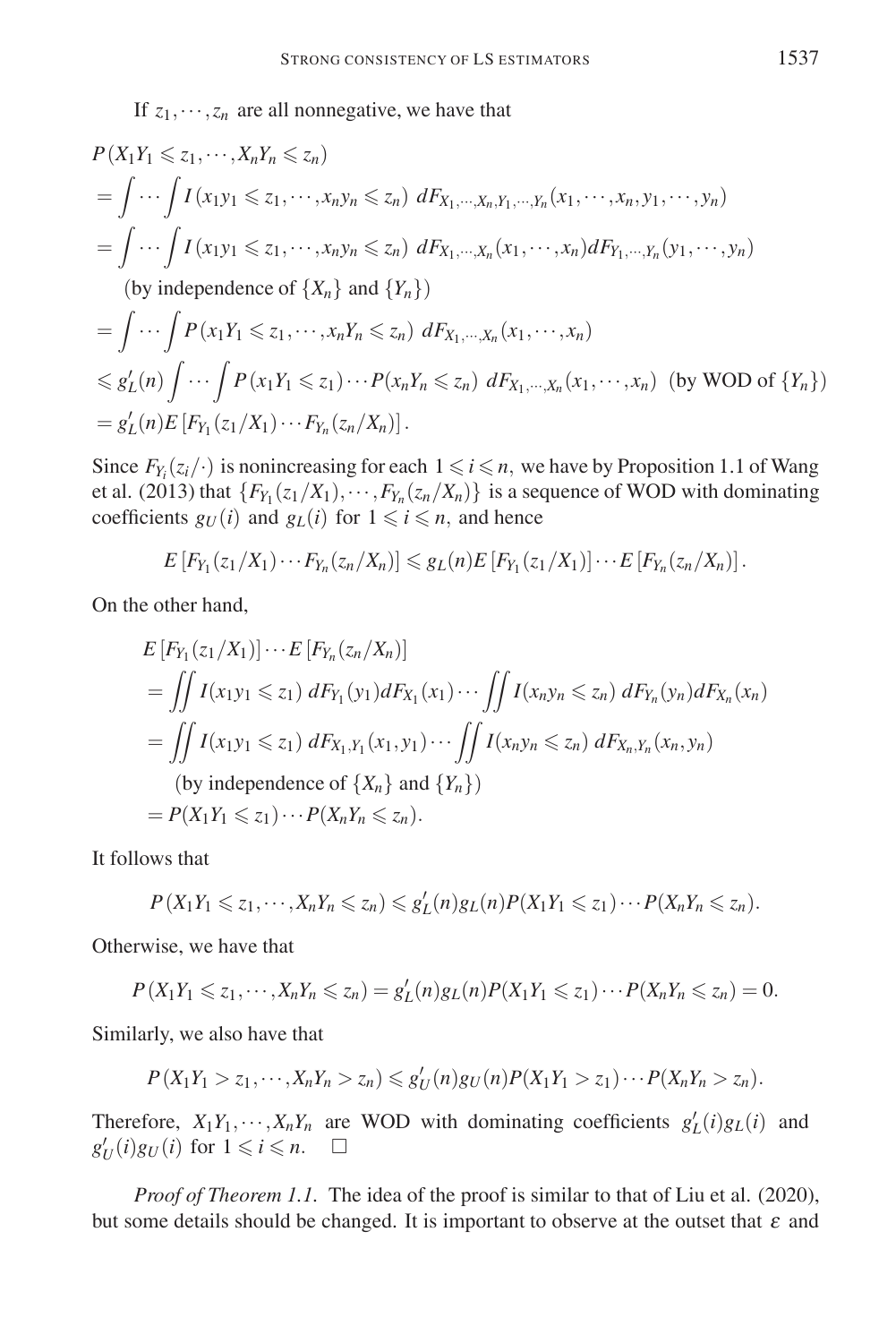If  $z_1, \dots, z_n$  are all nonnegative, we have that

$$
P(X_1Y_1 \leq z_1, \dots, X_nY_n \leq z_n)
$$
  
=  $\int \cdots \int I(x_1y_1 \leq z_1, \dots, x_ny_n \leq z_n) dF_{X_1, \dots, X_n, Y_1, \dots, Y_n}(x_1, \dots, x_n, y_1, \dots, y_n)$   
=  $\int \cdots \int I(x_1y_1 \leq z_1, \dots, x_ny_n \leq z_n) dF_{X_1, \dots, X_n}(x_1, \dots, x_n) dF_{Y_1, \dots, Y_n}(y_1, \dots, y_n)$   
(by independence of  $\{X_n\}$  and  $\{Y_n\}$ )  
=  $\int \cdots \int P(x_1Y_1 \leq z_1, \dots, x_nY_n \leq z_n) dF_{X_1, \dots, X_n}(x_1, \dots, x_n)$   
 $\leq g'_L(n) \int \cdots \int P(x_1Y_1 \leq z_1) \cdots P(x_nY_n \leq z_n) dF_{X_1, \dots, X_n}(x_1, \dots, x_n)$  (by WOD of  $\{Y_n\}$ )  
=  $g'_L(n) E[F_{Y_1}(z_1/X_1) \cdots F_{Y_n}(z_n/X_n)].$ 

Since  $F_{Y_i}(z_i/\cdot)$  is nonincreasing for each  $1 \leq i \leq n$ , we have by Proposition 1.1 of Wang et al. (2013) that  $\{F_{Y_1}(z_1/X_1), \cdots, F_{Y_n}(z_n/X_n)\}\)$  is a sequence of WOD with dominating coefficients  $g_U(i)$  and  $g_L(i)$  for  $1 \leq i \leq n$ , and hence

$$
E\left[F_{Y_1}(z_1/X_1)\cdots F_{Y_n}(z_n/X_n)\right]\leqslant g_L(n)E\left[F_{Y_1}(z_1/X_1)\right]\cdots E\left[F_{Y_n}(z_n/X_n)\right].
$$

On the other hand,

$$
E[F_{Y_1}(z_1/X_1)] \cdots E[F_{Y_n}(z_n/X_n)]
$$
  
=  $\iint I(x_1y_1 \le z_1) dF_{Y_1}(y_1) dF_{X_1}(x_1) \cdots \iint I(x_ny_n \le z_n) dF_{Y_n}(y_n) dF_{X_n}(x_n)$   
=  $\iint I(x_1y_1 \le z_1) dF_{X_1,Y_1}(x_1,y_1) \cdots \iint I(x_ny_n \le z_n) dF_{X_n,Y_n}(x_n,y_n)$   
(by independence of  $\{X_n\}$  and  $\{Y_n\}$ )  
=  $P(X_1Y_1 \le z_1) \cdots P(X_nY_n \le z_n)$ .

It follows that

$$
P(X_1Y_1\leq z_1,\cdots,X_nY_n\leq z_n)\leq g'_L(n)g_L(n)P(X_1Y_1\leq z_1)\cdots P(X_nY_n\leq z_n).
$$

Otherwise, we have that

$$
P(X_1Y_1\leq z_1,\cdots,X_nY_n\leq z_n)=g'_L(n)g_L(n)P(X_1Y_1\leq z_1)\cdots P(X_nY_n\leq z_n)=0.
$$

Similarly, we also have that

$$
P(X_1Y_1 > z_1,\cdots,X_nY_n > z_n) \leqslant g'_U(n)g_U(n)P(X_1Y_1 > z_1)\cdots P(X_nY_n > z_n).
$$

Therefore,  $X_1 Y_1, \dots, X_n Y_n$  are WOD with dominating coefficients  $g'_L(i)g_L(i)$  and  $g'_U(i)g_U(i)$  for  $1 \le i \le n$ .  $\Box$ 

*Proof of Theorem 1.1.* The idea of the proof is similar to that of Liu et al. (2020), but some details should be changed. It is important to observe at the outset that  $\varepsilon$  and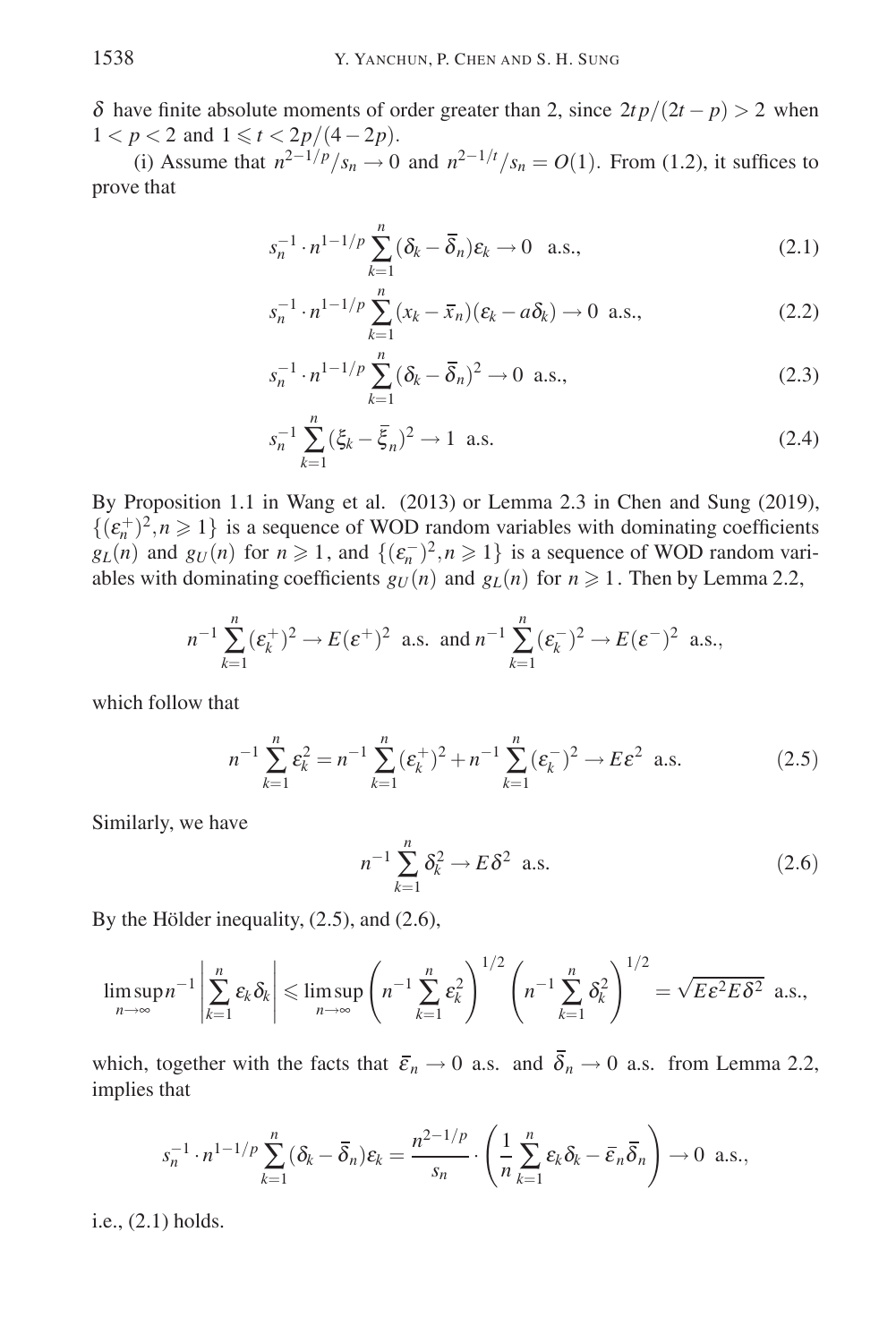δ have finite absolute moments of order greater than 2, since  $2tp/(2t - p) > 2$  when  $1 < p < 2$  and  $1 \leq t < \frac{2p}{4-2p}$ .

(i) Assume that  $n^{2-1/p}/s_n \to 0$  and  $n^{2-1/t}/s_n = O(1)$ . From (1.2), it suffices to prove that

$$
s_n^{-1} \cdot n^{1-1/p} \sum_{k=1}^n (\delta_k - \overline{\delta}_n) \varepsilon_k \to 0 \quad \text{a.s.,}
$$
 (2.1)

$$
s_n^{-1} \cdot n^{1-1/p} \sum_{k=1}^n (x_k - \bar{x}_n)(\varepsilon_k - a\delta_k) \to 0 \text{ a.s.},
$$
 (2.2)

$$
s_n^{-1} \cdot n^{1-1/p} \sum_{k=1}^n (\delta_k - \overline{\delta}_n)^2 \to 0 \text{ a.s.},
$$
 (2.3)

$$
s_n^{-1} \sum_{k=1}^n (\xi_k - \overline{\xi}_n)^2 \to 1 \text{ a.s.}
$$
 (2.4)

By Proposition 1.1 in Wang et al. (2013) or Lemma 2.3 in Chen and Sung (2019),  $\{(\varepsilon_n^+)^2, n \geq 1\}$  is a sequence of WOD random variables with dominating coefficients *g<sub>L</sub>*(*n*) and *g<sub>U</sub>*(*n*) for  $n \ge 1$ , and  $\{(\epsilon_n^{-})^2, n \ge 1\}$  is a sequence of WOD random variables with dominating coefficients  $g_U(n)$  and  $g_L(n)$  for  $n \ge 1$ . Then by Lemma 2.2,

$$
n^{-1}\sum_{k=1}^{n}(\varepsilon_{k}^{+})^{2} \to E(\varepsilon^{+})^{2} \text{ a.s. and } n^{-1}\sum_{k=1}^{n}(\varepsilon_{k}^{-})^{2} \to E(\varepsilon^{-})^{2} \text{ a.s.},
$$

which follow that

$$
n^{-1} \sum_{k=1}^{n} \varepsilon_k^2 = n^{-1} \sum_{k=1}^{n} (\varepsilon_k^+)^2 + n^{-1} \sum_{k=1}^{n} (\varepsilon_k^-)^2 \to E\varepsilon^2 \text{ a.s.}
$$
 (2.5)

Similarly, we have

$$
n^{-1} \sum_{k=1}^{n} \delta_k^2 \to E \delta^2 \text{ a.s.}
$$
 (2.6)

By the Hölder inequality,  $(2.5)$ , and  $(2.6)$ ,

$$
\limsup_{n\to\infty}n^{-1}\left|\sum_{k=1}^n \varepsilon_k \delta_k\right|\leqslant \limsup_{n\to\infty}\left(n^{-1}\sum_{k=1}^n \varepsilon_k^2\right)^{1/2}\left(n^{-1}\sum_{k=1}^n \delta_k^2\right)^{1/2}=\sqrt{E\varepsilon^2E\delta^2} \text{ a.s.,}
$$

which, together with the facts that  $\bar{\varepsilon}_n \to 0$  a.s. and  $\bar{\delta}_n \to 0$  a.s. from Lemma 2.2, implies that

$$
s_n^{-1} \cdot n^{1-1/p} \sum_{k=1}^n (\delta_k - \overline{\delta}_n) \varepsilon_k = \frac{n^{2-1/p}}{s_n} \cdot \left( \frac{1}{n} \sum_{k=1}^n \varepsilon_k \delta_k - \overline{\varepsilon}_n \overline{\delta}_n \right) \to 0 \text{ a.s.},
$$

i.e., (2.1) holds.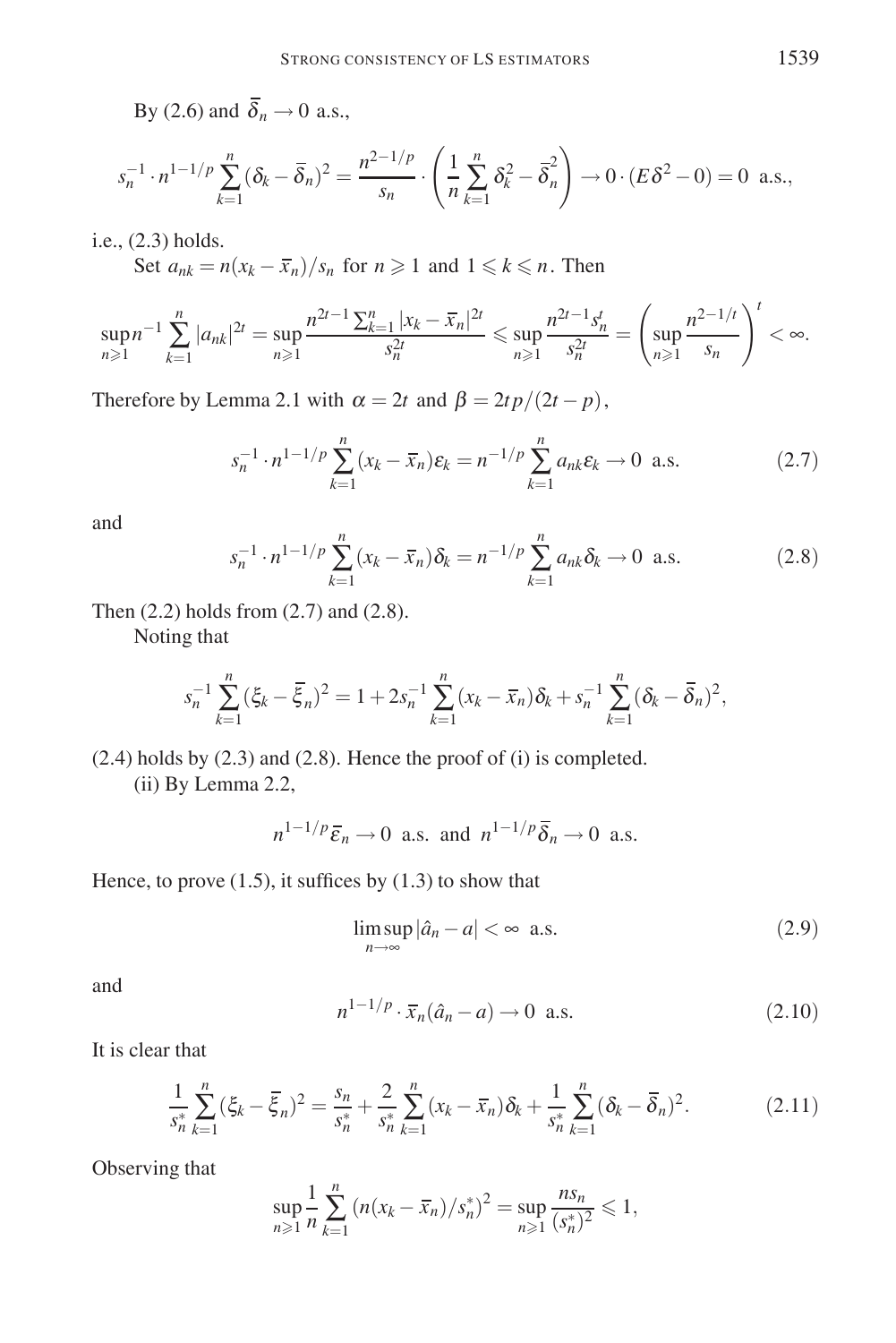By (2.6) and  $\overline{\delta}_n \rightarrow 0$  a.s.,

$$
s_n^{-1} \cdot n^{1-1/p} \sum_{k=1}^n (\delta_k - \overline{\delta}_n)^2 = \frac{n^{2-1/p}}{s_n} \cdot \left( \frac{1}{n} \sum_{k=1}^n \delta_k^2 - \overline{\delta}_n^2 \right) \to 0 \cdot (E\delta^2 - 0) = 0 \text{ a.s.},
$$

i.e., (2.3) holds.

Set  $a_{nk} = n(x_k - \bar{x}_n)/s_n$  for  $n \ge 1$  and  $1 \le k \le n$ . Then

$$
\sup_{n\geq 1} n^{-1} \sum_{k=1}^n |a_{nk}|^{2t} = \sup_{n\geq 1} \frac{n^{2t-1} \sum_{k=1}^n |x_k - \overline{x}_n|^{2t}}{s_n^{2t}} \leq \sup_{n\geq 1} \frac{n^{2t-1} s_n^t}{s_n^{2t}} = \left(\sup_{n\geq 1} \frac{n^{2-1/t}}{s_n}\right)^t < \infty.
$$

Therefore by Lemma 2.1 with  $\alpha = 2t$  and  $\beta = 2tp/(2t - p)$ ,

$$
s_n^{-1} \cdot n^{1-1/p} \sum_{k=1}^n (x_k - \bar{x}_n) \varepsilon_k = n^{-1/p} \sum_{k=1}^n a_{nk} \varepsilon_k \to 0 \text{ a.s.}
$$
 (2.7)

and

$$
s_n^{-1} \cdot n^{1-1/p} \sum_{k=1}^n (x_k - \bar{x}_n) \delta_k = n^{-1/p} \sum_{k=1}^n a_{nk} \delta_k \to 0 \text{ a.s.}
$$
 (2.8)

Then (2.2) holds from (2.7) and (2.8).

Noting that

$$
s_n^{-1} \sum_{k=1}^n (\xi_k - \overline{\xi}_n)^2 = 1 + 2s_n^{-1} \sum_{k=1}^n (x_k - \overline{x}_n) \delta_k + s_n^{-1} \sum_{k=1}^n (\delta_k - \overline{\delta}_n)^2,
$$

(2.4) holds by (2.3) and (2.8). Hence the proof of (i) is completed.

(ii) By Lemma 2.2,

$$
n^{1-1/p}\bar{\varepsilon}_n \to 0
$$
 a.s. and  $n^{1-1/p}\bar{\delta}_n \to 0$  a.s.

Hence, to prove  $(1.5)$ , it suffices by  $(1.3)$  to show that

$$
\limsup_{n \to \infty} |\hat{a}_n - a| < \infty \quad \text{a.s.} \tag{2.9}
$$

and

$$
n^{1-1/p} \cdot \overline{x}_n(\hat{a}_n - a) \to 0 \quad \text{a.s.} \tag{2.10}
$$

It is clear that

$$
\frac{1}{s_n^*} \sum_{k=1}^n (\xi_k - \overline{\xi}_n)^2 = \frac{s_n}{s_n^*} + \frac{2}{s_n^*} \sum_{k=1}^n (x_k - \overline{x}_n) \delta_k + \frac{1}{s_n^*} \sum_{k=1}^n (\delta_k - \overline{\delta}_n)^2.
$$
 (2.11)

Observing that

$$
\sup_{n\geq 1} \frac{1}{n} \sum_{k=1}^n (n(x_k - \overline{x}_n)/s_n^*)^2 = \sup_{n\geq 1} \frac{ns_n}{(s_n^*)^2} \leq 1,
$$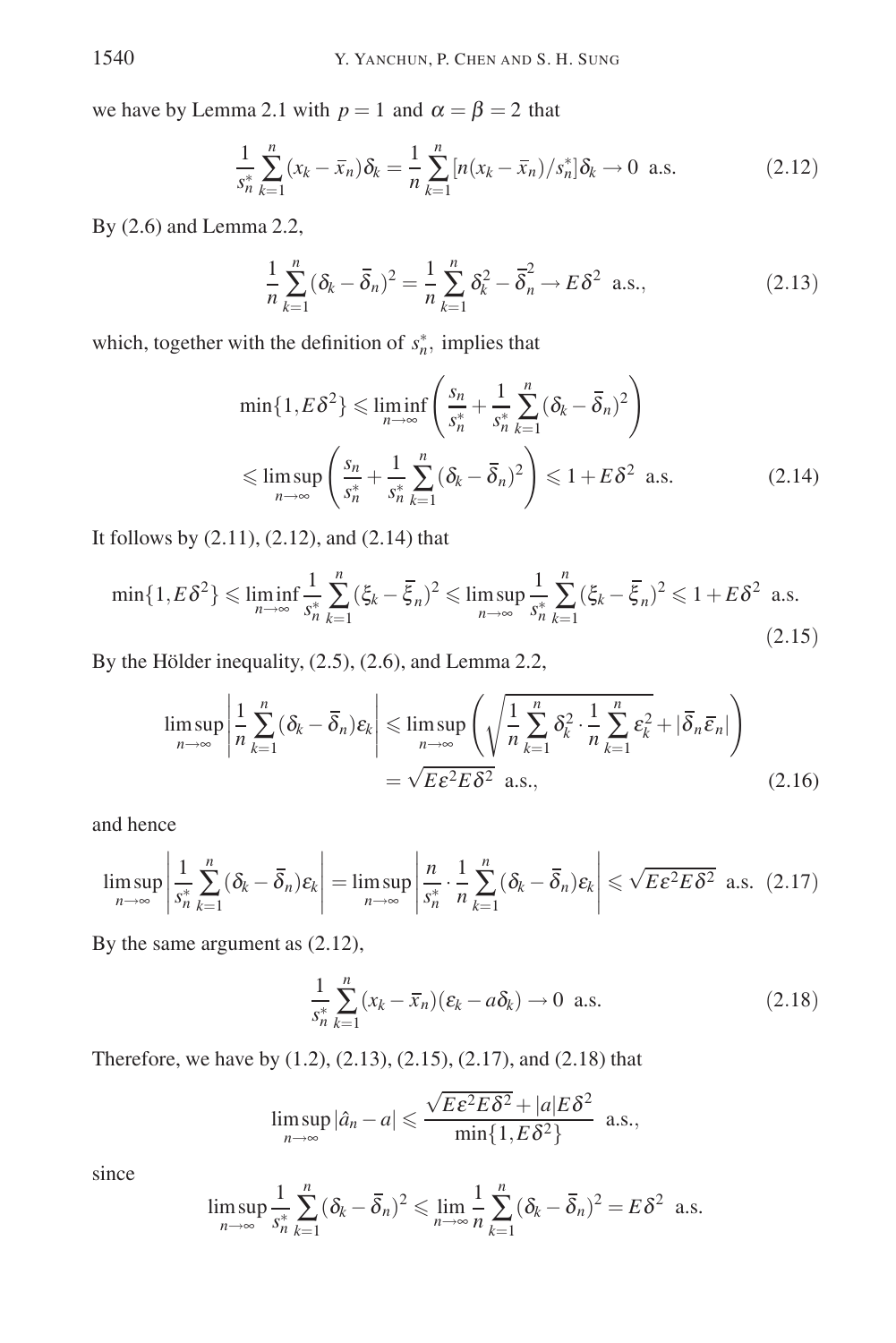we have by Lemma 2.1 with  $p = 1$  and  $\alpha = \beta = 2$  that

$$
\frac{1}{s_n^*} \sum_{k=1}^n (x_k - \bar{x}_n) \delta_k = \frac{1}{n} \sum_{k=1}^n [n(x_k - \bar{x}_n)/s_n^*] \delta_k \to 0 \text{ a.s.}
$$
 (2.12)

By (2.6) and Lemma 2.2,

$$
\frac{1}{n}\sum_{k=1}^{n}(\delta_k-\overline{\delta}_n)^2=\frac{1}{n}\sum_{k=1}^{n}\delta_k^2-\overline{\delta}_n^2\to E\delta^2 \text{ a.s.},
$$
\n(2.13)

which, together with the definition of  $s_n^*$ , implies that

$$
\min\{1, E\delta^2\} \leq \liminf_{n \to \infty} \left(\frac{s_n}{s_n^*} + \frac{1}{s_n^*} \sum_{k=1}^n (\delta_k - \overline{\delta}_n)^2\right)
$$
  

$$
\leq \limsup_{n \to \infty} \left(\frac{s_n}{s_n^*} + \frac{1}{s_n^*} \sum_{k=1}^n (\delta_k - \overline{\delta}_n)^2\right) \leq 1 + E\delta^2 \text{ a.s.}
$$
 (2.14)

It follows by (2.11), (2.12), and (2.14) that

$$
\min\{1, E\delta^2\} \leq \liminf_{n \to \infty} \frac{1}{s_n^*} \sum_{k=1}^n (\xi_k - \overline{\xi}_n)^2 \leq \limsup_{n \to \infty} \frac{1}{s_n^*} \sum_{k=1}^n (\xi_k - \overline{\xi}_n)^2 \leq 1 + E\delta^2 \text{ a.s.}
$$
\n(2.15)

By the Hölder inequality,  $(2.5)$ ,  $(2.6)$ , and Lemma 2.2,

$$
\limsup_{n \to \infty} \left| \frac{1}{n} \sum_{k=1}^{n} (\delta_k - \overline{\delta}_n) \varepsilon_k \right| \le \limsup_{n \to \infty} \left( \sqrt{\frac{1}{n} \sum_{k=1}^{n} \delta_k^2 \cdot \frac{1}{n} \sum_{k=1}^{n} \varepsilon_k^2} + |\overline{\delta}_n \overline{\varepsilon}_n| \right) \right|
$$
\n
$$
= \sqrt{E \varepsilon^2 E \delta^2} \text{ a.s.}, \qquad (2.16)
$$

and hence

$$
\limsup_{n\to\infty}\left|\frac{1}{s_n^*}\sum_{k=1}^n(\delta_k-\overline{\delta}_n)\varepsilon_k\right|=\limsup_{n\to\infty}\left|\frac{n}{s_n^*}\cdot\frac{1}{n}\sum_{k=1}^n(\delta_k-\overline{\delta}_n)\varepsilon_k\right|\leqslant\sqrt{E\varepsilon^2E\delta^2}\quad\text{a.s.}\quad(2.17)
$$

By the same argument as (2.12),

$$
\frac{1}{s_n^*} \sum_{k=1}^n (x_k - \overline{x}_n)(\varepsilon_k - a\delta_k) \to 0 \text{ a.s.}
$$
 (2.18)

Therefore, we have by (1.2), (2.13), (2.15), (2.17), and (2.18) that

$$
\limsup_{n\to\infty}|\hat{a}_n-a|\leqslant \frac{\sqrt{E\epsilon^2E\delta^2}+|a|E\delta^2}{\min\{1,E\delta^2\}}\ \text{a.s.},
$$

since

$$
\limsup_{n\to\infty}\frac{1}{s_n^*}\sum_{k=1}^n(\delta_k-\overline{\delta}_n)^2\leqslant \lim_{n\to\infty}\frac{1}{n}\sum_{k=1}^n(\delta_k-\overline{\delta}_n)^2=E\delta^2
$$
 a.s.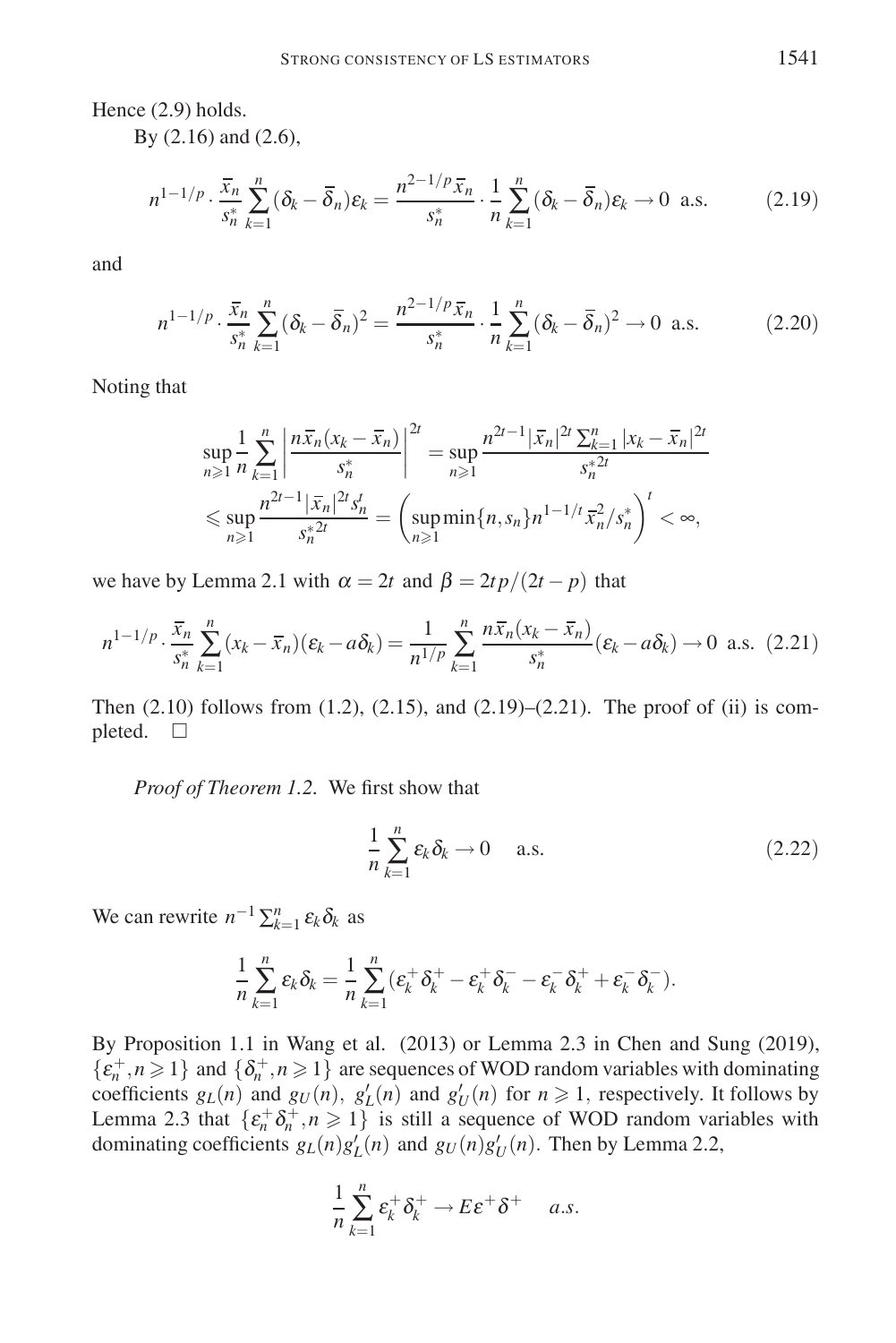Hence (2.9) holds.

By (2.16) and (2.6),

$$
n^{1-1/p} \cdot \frac{\overline{x}_n}{s_n^*} \sum_{k=1}^n (\delta_k - \overline{\delta}_n) \varepsilon_k = \frac{n^{2-1/p} \overline{x}_n}{s_n^*} \cdot \frac{1}{n} \sum_{k=1}^n (\delta_k - \overline{\delta}_n) \varepsilon_k \to 0 \text{ a.s.}
$$
 (2.19)

and

$$
n^{1-1/p} \cdot \frac{\overline{x}_n}{s_n^*} \sum_{k=1}^n (\delta_k - \overline{\delta}_n)^2 = \frac{n^{2-1/p} \overline{x}_n}{s_n^*} \cdot \frac{1}{n} \sum_{k=1}^n (\delta_k - \overline{\delta}_n)^2 \to 0 \text{ a.s.}
$$
 (2.20)

Noting that

$$
\sup_{n\geqslant 1} \frac{1}{n} \sum_{k=1}^n \left| \frac{n\overline{x}_n(x_k - \overline{x}_n)}{s_n^*} \right|^{2t} = \sup_{n\geqslant 1} \frac{n^{2t-1}|\overline{x}_n|^{2t} \sum_{k=1}^n |x_k - \overline{x}_n|^{2t}}{s_n^{*2t}}
$$
  
\$\leqslant \sup\_{n\geqslant 1} \frac{n^{2t-1}|\overline{x}\_n|^{2t} s\_n^t}{s\_n^{\*2t}} = \left(\sup\_{n\geqslant 1} \min\{n, s\_n\} n^{1-1/t} \overline{x}\_n^2 / s\_n^\*\right)^t < \infty\$,

we have by Lemma 2.1 with  $\alpha = 2t$  and  $\beta = 2tp/(2t - p)$  that

$$
n^{1-1/p} \cdot \frac{\overline{x}_n}{s_n^*} \sum_{k=1}^n (x_k - \overline{x}_n)(\varepsilon_k - a\delta_k) = \frac{1}{n^{1/p}} \sum_{k=1}^n \frac{n\overline{x}_n(x_k - \overline{x}_n)}{s_n^*}(\varepsilon_k - a\delta_k) \to 0 \text{ a.s. (2.21)}
$$

Then  $(2.10)$  follows from  $(1.2)$ ,  $(2.15)$ , and  $(2.19)$ – $(2.21)$ . The proof of (ii) is completed.  $\square$ 

*Proof of Theorem 1.2.* We first show that

$$
\frac{1}{n}\sum_{k=1}^{n}\varepsilon_{k}\delta_{k}\to 0 \quad \text{a.s.} \tag{2.22}
$$

We can rewrite  $n^{-1} \sum_{k=1}^{n} \varepsilon_k \delta_k$  as

$$
\frac{1}{n}\sum_{k=1}^n \varepsilon_k \delta_k = \frac{1}{n}\sum_{k=1}^n (\varepsilon_k^+ \delta_k^+ - \varepsilon_k^+ \delta_k^- - \varepsilon_k^- \delta_k^+ + \varepsilon_k^- \delta_k^-).
$$

By Proposition 1.1 in Wang et al. (2013) or Lemma 2.3 in Chen and Sung (2019),  $\{\varepsilon_n^+, n \ge 1\}$  and  $\{\delta_n^+, n \ge 1\}$  are sequences of WOD random variables with dominating coefficients  $g_L(n)$  and  $g_U(n)$ ,  $g'_L(n)$  and  $g'_U(n)$  for  $n \ge 1$ , respectively. It follows by Lemma 2.3 that  $\{\varepsilon_n^+ \delta_n^+, n \geq 1\}$  is still a sequence of WOD random variables with dominating coefficients  $g_L(n)g'_L(n)$  and  $g_U(n)g'_U(n)$ . Then by Lemma 2.2,

$$
\frac{1}{n}\sum_{k=1}^n \varepsilon_k^+ \delta_k^+ \to E\varepsilon^+ \delta^+ \quad a.s.
$$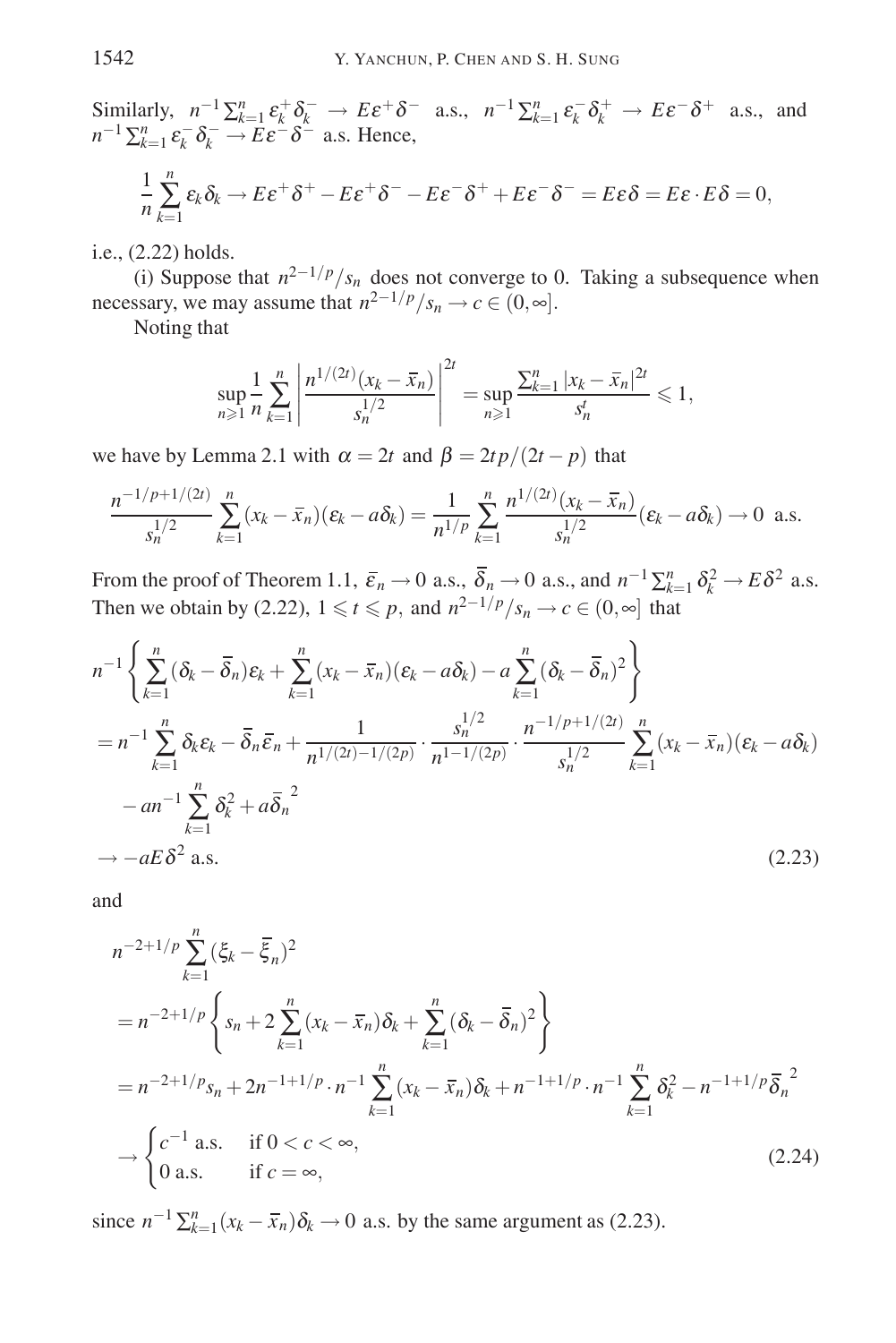Similarly,  $n^{-1} \sum_{k=1}^n \varepsilon_k^+ \delta_k^- \to E \varepsilon^+ \delta^-$  a.s.,  $n^{-1} \sum_{k=1}^n \varepsilon_k^- \delta_k^+ \to E \varepsilon^- \delta^+$  a.s., and  $n^{-1} \sum_{k=1}^{n} \varepsilon_k^- \delta_k^- \rightarrow E \varepsilon^- \delta_-^{\sim}$  a.s. Hence, 1 *n n* ∑ *k*=1  $\epsilon_k \delta_k \to E \epsilon^+ \delta^+ - E \epsilon^+ \delta^- - E \epsilon^- \delta^+ + E \epsilon^- \delta^- = E \epsilon \delta = E \epsilon \cdot E \delta = 0,$ 

i.e., (2.22) holds.

(i) Suppose that  $n^{2-1/p}/s_n$  does not converge to 0. Taking a subsequence when necessary, we may assume that  $n^{2-1/p}/s_n \to c \in (0, \infty]$ .

Noting that

$$
\sup_{n\geq 1} \frac{1}{n} \sum_{k=1}^n \left| \frac{n^{1/(2t)} (x_k - \overline{x}_n)}{s_n^{1/2}} \right|^{2t} = \sup_{n\geq 1} \frac{\sum_{k=1}^n |x_k - \overline{x}_n|^{2t}}{s_n^t} \leq 1,
$$

we have by Lemma 2.1 with  $\alpha = 2t$  and  $\beta = 2tp/(2t - p)$  that

$$
\frac{n^{-1/p+1/(2t)}}{s_n^{1/2}}\sum_{k=1}^n(x_k-\overline{x}_n)(\varepsilon_k-a\delta_k)=\frac{1}{n^{1/p}}\sum_{k=1}^n\frac{n^{1/(2t)}(x_k-\overline{x}_n)}{s_n^{1/2}}(\varepsilon_k-a\delta_k)\to 0 \text{ a.s.}
$$

From the proof of Theorem 1.1,  $\bar{\varepsilon}_n \to 0$  a.s.,  $\bar{\delta}_n \to 0$  a.s., and  $n^{-1} \sum_{k=1}^n \delta_k^2 \to E \delta^2$  a.s. Then we obtain by (2.22),  $1 \leq t \leq p$ , and  $n^{2-1/p}/s_n \to c \in (0, \infty]$  that

$$
n^{-1} \left\{ \sum_{k=1}^{n} (\delta_k - \overline{\delta}_n) \varepsilon_k + \sum_{k=1}^{n} (x_k - \overline{x}_n) (\varepsilon_k - a \delta_k) - a \sum_{k=1}^{n} (\delta_k - \overline{\delta}_n)^2 \right\}
$$
  
=  $n^{-1} \sum_{k=1}^{n} \delta_k \varepsilon_k - \overline{\delta}_n \overline{\varepsilon}_n + \frac{1}{n^{1/(2t) - 1/(2p)}} \cdot \frac{s_n^{1/2}}{n^{1 - 1/(2p)}} \cdot \frac{n^{-1/p + 1/(2t)}}{s_n^{1/2}} \sum_{k=1}^{n} (x_k - \overline{x}_n) (\varepsilon_k - a \delta_k)$   

$$
- an^{-1} \sum_{k=1}^{n} \delta_k^2 + a \overline{\delta}_n^2
$$
  

$$
\rightarrow -aE \delta^2 \text{ a.s.}
$$
 (2.23)

and

$$
n^{-2+1/p} \sum_{k=1}^{n} (\xi_k - \overline{\xi}_n)^2
$$
  
=  $n^{-2+1/p} \left\{ s_n + 2 \sum_{k=1}^{n} (x_k - \overline{x}_n) \delta_k + \sum_{k=1}^{n} (\delta_k - \overline{\delta}_n)^2 \right\}$   
=  $n^{-2+1/p} s_n + 2n^{-1+1/p} \cdot n^{-1} \sum_{k=1}^{n} (x_k - \overline{x}_n) \delta_k + n^{-1+1/p} \cdot n^{-1} \sum_{k=1}^{n} \delta_k^2 - n^{-1+1/p} \overline{\delta}_n^2$   
 $\rightarrow \begin{cases} c^{-1} \text{ a.s.} & \text{if } 0 < c < \infty, \\ 0 \text{ a.s.} & \text{if } c = \infty, \end{cases}$  (2.24)

since  $n^{-1} \sum_{k=1}^{n} (x_k - \overline{x}_n) \delta_k \to 0$  a.s. by the same argument as (2.23).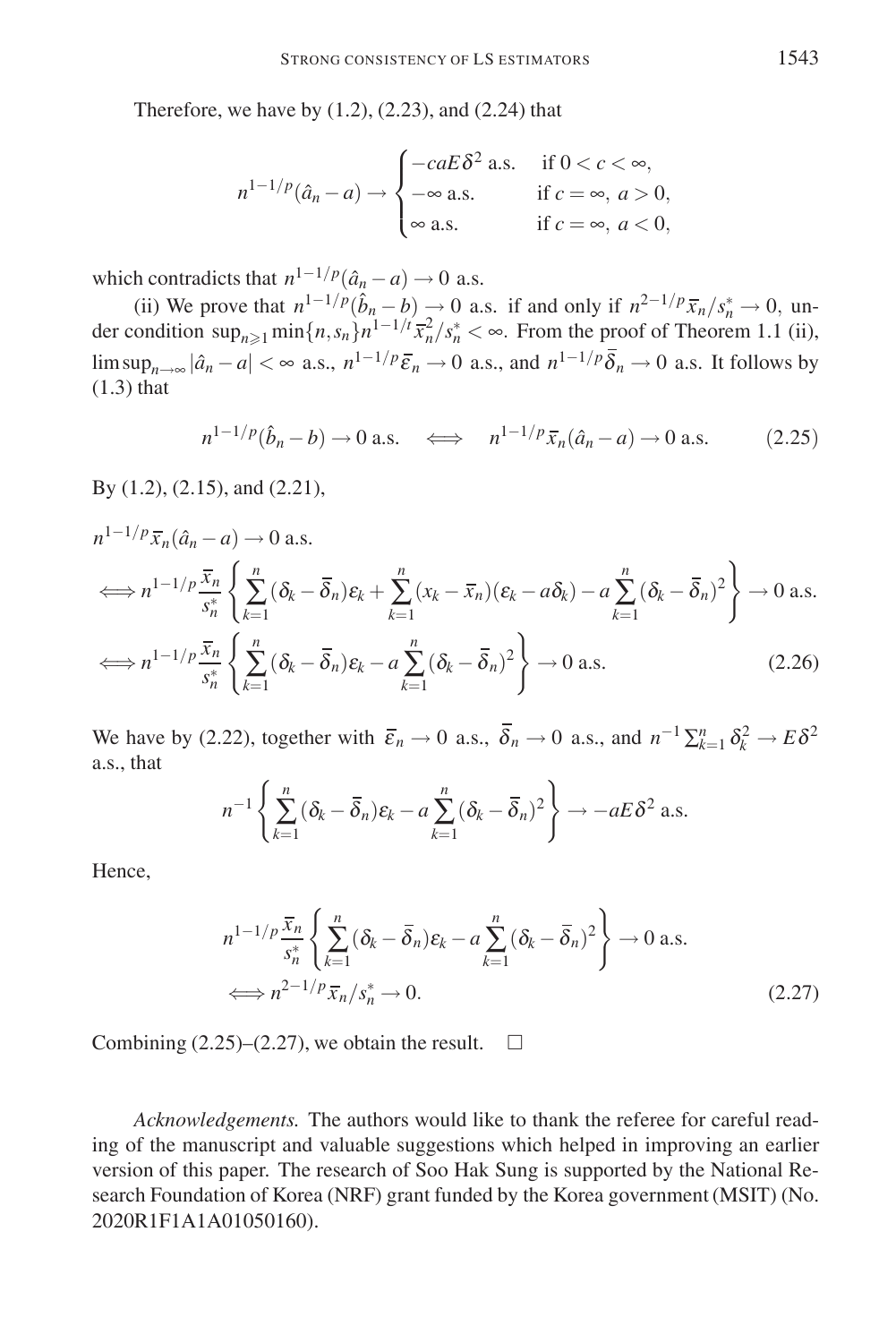Therefore, we have by  $(1.2)$ ,  $(2.23)$ , and  $(2.24)$  that

$$
n^{1-1/p}(\hat{a}_n - a) \to \begin{cases} -caE\,\delta^2 \text{ a.s.} & \text{if } 0 < c < \infty, \\ -\infty \text{ a.s.} & \text{if } c = \infty, \ a > 0, \\ \infty \text{ a.s.} & \text{if } c = \infty, \ a < 0, \end{cases}
$$

which contradicts that  $n^{1-1/p}(\hat{a}_n - a) \rightarrow 0$  a.s.

(ii) We prove that  $n^{1-1/p}(\hat{b}_n - b) \to 0$  a.s. if and only if  $n^{2-1/p}\bar{x}_n/s_n^* \to 0$ , under condition  $\sup_{n\geq 1} \min\{n, s_n\} n^{1-1/t} \overline{x}_n^2 / s_n^* < \infty$ . From the proof of Theorem 1.1 (ii), lim  $\sup_{n\to\infty}|\hat{a}_n-a| < \infty$  a.s.,  $n^{1-1/p}\bar{\varepsilon}_n \to 0$  a.s., and  $n^{1-1/p}\bar{\delta}_n \to 0$  a.s. It follows by (1.3) that

$$
n^{1-1/p}(\hat{b}_n - b) \to 0 \text{ a.s.} \quad \Longleftrightarrow \quad n^{1-1/p} \overline{x}_n(\hat{a}_n - a) \to 0 \text{ a.s.} \tag{2.25}
$$

By (1.2), (2.15), and (2.21),

$$
n^{1-1/p}\bar{x}_n(\hat{a}_n - a) \to 0 \text{ a.s.}
$$
  
\n
$$
\iff n^{1-1/p}\frac{\bar{x}_n}{s_n^*} \left\{ \sum_{k=1}^n (\delta_k - \bar{\delta}_n)\epsilon_k + \sum_{k=1}^n (x_k - \bar{x}_n)(\epsilon_k - a\delta_k) - a\sum_{k=1}^n (\delta_k - \bar{\delta}_n)^2 \right\} \to 0 \text{ a.s.}
$$
  
\n
$$
\iff n^{1-1/p}\frac{\bar{x}_n}{s_n^*} \left\{ \sum_{k=1}^n (\delta_k - \bar{\delta}_n)\epsilon_k - a\sum_{k=1}^n (\delta_k - \bar{\delta}_n)^2 \right\} \to 0 \text{ a.s.}
$$
 (2.26)

We have by (2.22), together with  $\bar{\varepsilon}_n \to 0$  a.s.,  $\bar{\delta}_n \to 0$  a.s., and  $n^{-1} \sum_{k=1}^n \delta_k^2 \to E \delta^2$ a.s., that

$$
n^{-1}\left\{\sum_{k=1}^n(\delta_k-\overline{\delta}_n)\varepsilon_k-a\sum_{k=1}^n(\delta_k-\overline{\delta}_n)^2\right\}\to -aE\delta^2\text{ a.s.}
$$

Hence,

$$
n^{1-1/p} \frac{\overline{x}_n}{s_n^*} \left\{ \sum_{k=1}^n (\delta_k - \overline{\delta}_n) \varepsilon_k - a \sum_{k=1}^n (\delta_k - \overline{\delta}_n)^2 \right\} \to 0 \text{ a.s.}
$$
  

$$
\iff n^{2-1/p} \overline{x}_n / s_n^* \to 0.
$$
 (2.27)

Combining  $(2.25)$ – $(2.27)$ , we obtain the result.  $\Box$ 

*Acknowledgements.* The authors would like to thank the referee for careful reading of the manuscript and valuable suggestions which helped in improving an earlier version of this paper. The research of Soo Hak Sung is supported by the National Research Foundation of Korea (NRF) grant funded by the Korea government (MSIT) (No. 2020R1F1A1A01050160).